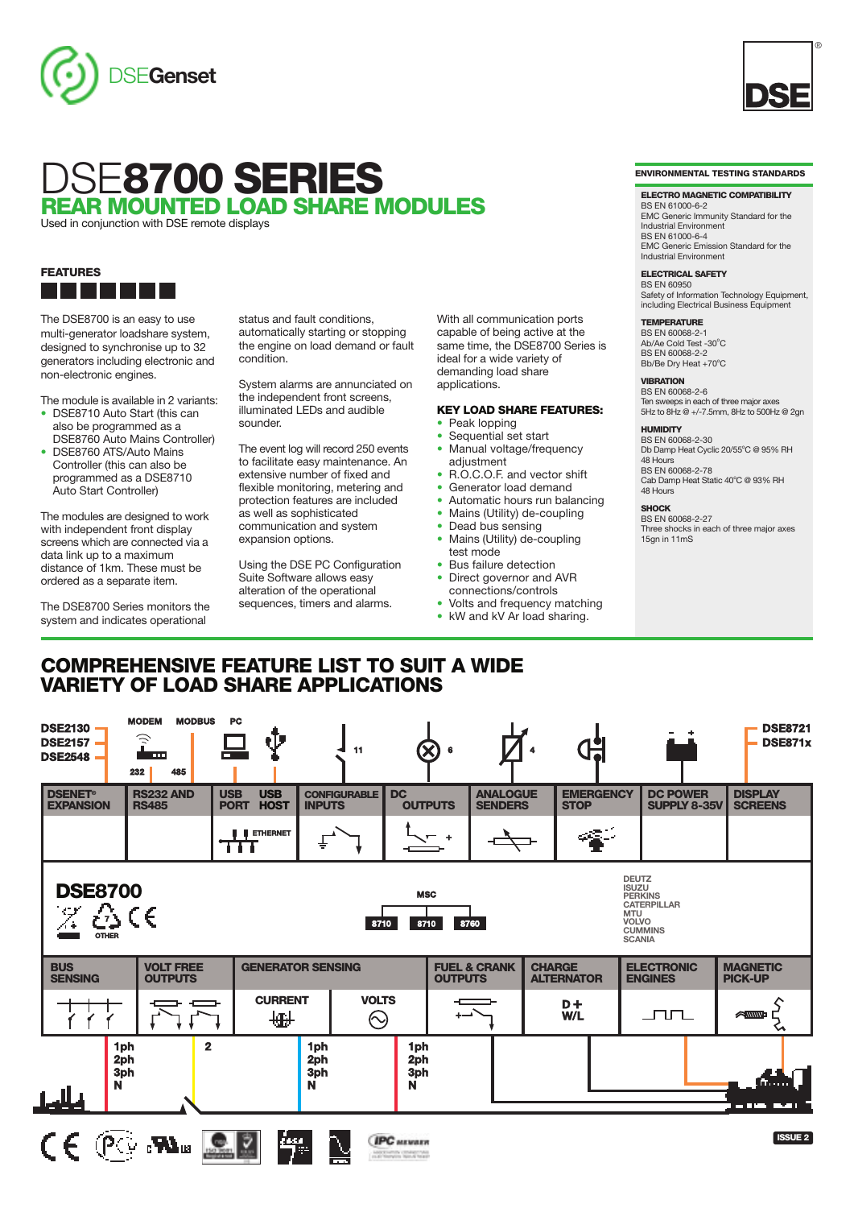



Used in conjunction with DSE remote displays

#### **FEATURES** <u>a ka</u> - 11 a ka

The DSE8700 is an easy to use multi-generator loadshare system, designed to synchronise up to 32 generators including electronic and non-electronic engines.

- The module is available in 2 variants: **•** DSE8710 Auto Start (this can also be programmed as a
- DSE8760 Auto Mains Controller) **•** DSE8760 ATS/Auto Mains Controller (this can also be programmed as a DSE8710 Auto Start Controller)

The modules are designed to work with independent front display screens which are connected via a data link up to a maximum distance of 1km. These must be ordered as a separate item.

The DSE8700 Series monitors the system and indicates operational

status and fault conditions, automatically starting or stopping the engine on load demand or fault condition.

System alarms are annunciated on the independent front screens, illuminated LEDs and audible sounder.

The event log will record 250 events to facilitate easy maintenance. An extensive number of fixed and flexible monitoring, metering and protection features are included as well as sophisticated communication and system expansion options.

Using the DSE PC Configuration Suite Software allows easy alteration of the operational sequences, timers and alarms.

**COMPREHENSIVE FEATURE LIST TO SUIT A WIDE**

With all communication ports capable of being active at the same time, the DSE8700 Series is ideal for a wide variety of demanding load share applications.

# **KEY LOAD SHARE FEATURES:**

- **•** Peak lopping
- Sequential set start **•** Manual voltage/frequency
- adiustment
- **•** R.O.C.O.F. and vector shift
- **•** Generator load demand
- **•** Automatic hours run balancing
- Mains (Utility) de-coupling<br>• Dead bus sensing
- **•** Dead bus sensing
- **•** Mains (Utility) de-coupling test mode
- **•** Bus failure detection
- **•** Direct governor and AVR connections/controls
- **•** Volts and frequency matching
- **•** kW and kV Ar load sharing.

**ENVIRONMENTAL TESTING STANDARDS**

®

#### **ELECTRO MAGNETIC COMPATIBILITY**

BS EN 61000-6-2 EMC Generic Immunity Standard for the Industrial Environment BS EN 61000-6-4 EMC Generic Emission Standard for the Industrial Environment

#### **ELECTRICAL SAFETY**

BS EN 60950 Safety of Information Technology Equipment, including Electrical Business Equipment

#### **TEMPERATURE**

BS EN 60068-2-1 Ab/Ae Cold Test -30°C BS EN 60068-2-2 Bb/Be Dry Heat +70°C

## **VIBRATION**

BS EN 60068-2-6 Ten sweeps in each of three major axes 5Hz to 8Hz @ +/-7.5mm, 8Hz to 500Hz @ 2gn

## **HUMIDITY**

BS EN 60068-2-30 Db Damp Heat Cyclic 20/55°C @ 95% RH 48 Hours BS EN 60068-2-78 Cab Damp Heat Static 40°C @ 93% RH 48 Hours

### **SHOCK**

BS EN 60068-2-27 Three shocks in each of three major axes 15gn in 11mS